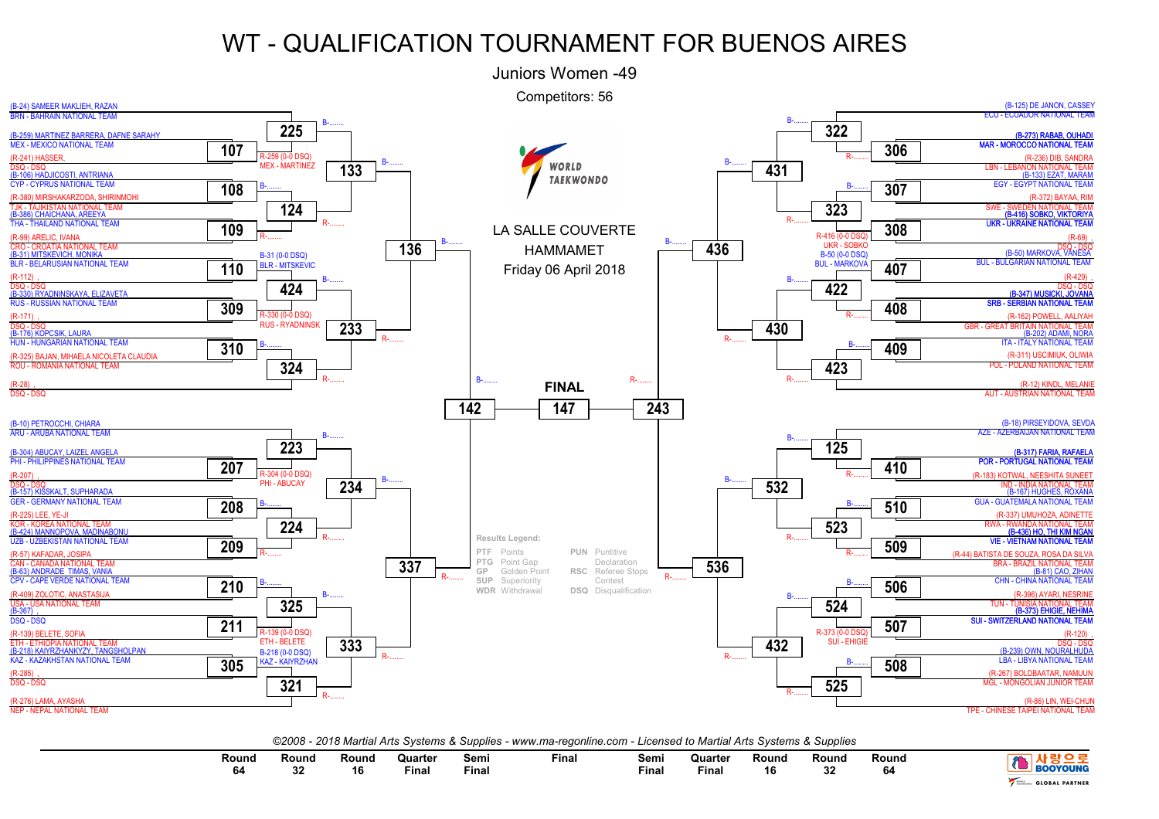

| <b>BOOYOUNG</b>       | Round<br>64 | Rouna<br>nn.<br>₩ | Round<br>16 | Quarter<br>Fina. | Semi<br>Final | <b>Final</b> | Semi<br>Final | Quarter<br>Final | Round<br>16 | Round<br>22<br>J۷ | Round<br>$\sim$<br>64 |  |
|-----------------------|-------------|-------------------|-------------|------------------|---------------|--------------|---------------|------------------|-------------|-------------------|-----------------------|--|
| <b>GLOBAL PARTNER</b> |             |                   |             |                  |               |              |               |                  |             |                   |                       |  |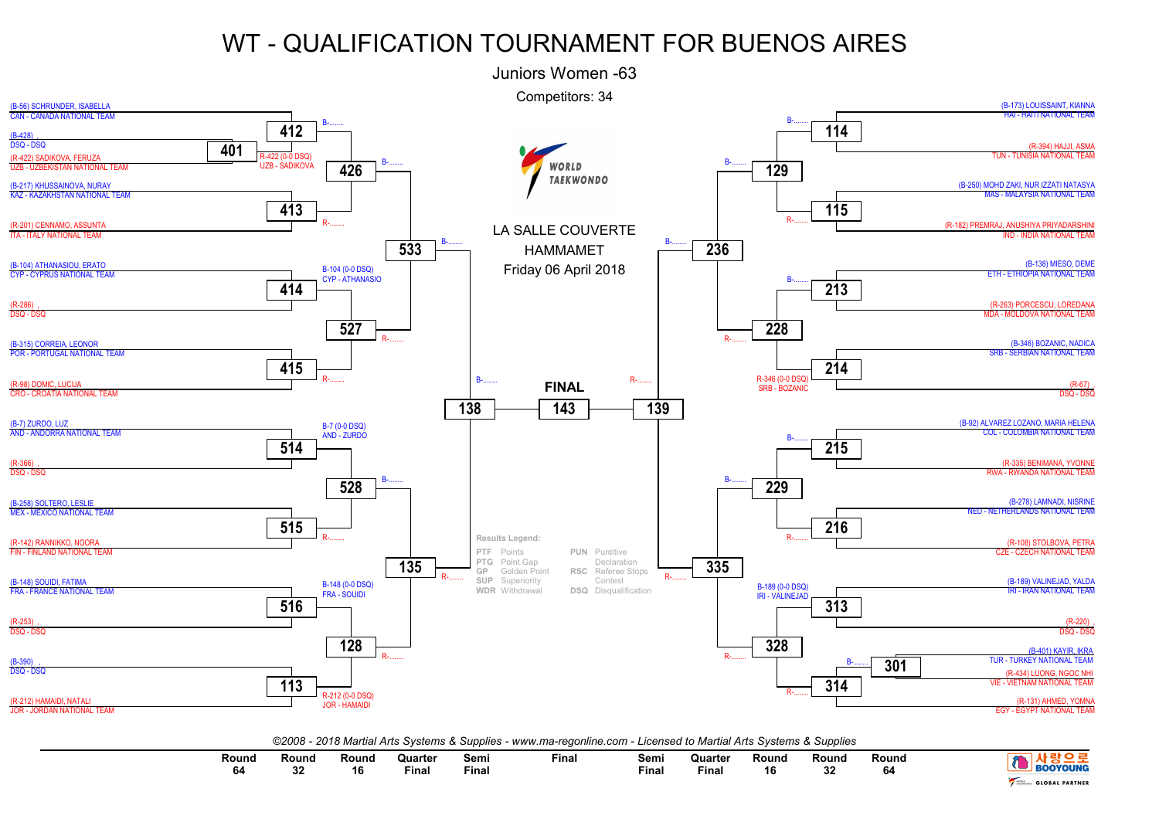

| Round<br>64 | Round | Round<br>$\overline{a}$<br>ם ו | Quarter<br>Final | Semi<br><b>Final</b> | Final | Sem.<br><b>Final</b> | Quarter<br>Fina. | Round<br>. C<br>ט ו | Round<br>$\sim$<br>∘ | Round | <b>BOOYOUNG</b>       |
|-------------|-------|--------------------------------|------------------|----------------------|-------|----------------------|------------------|---------------------|----------------------|-------|-----------------------|
|             |       |                                |                  |                      |       |                      |                  |                     |                      |       | <b>GLOBAL PARTNER</b> |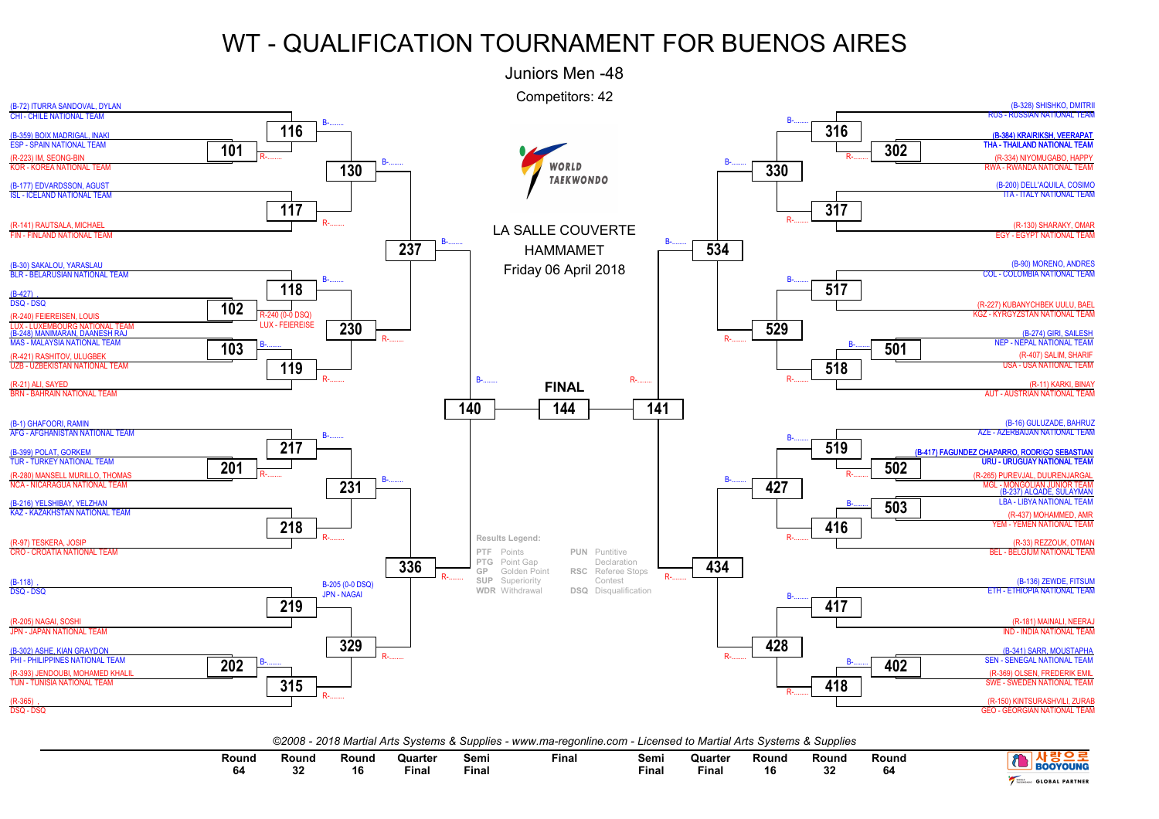

| Round<br>64 | Round<br>ົ | Rouna<br>16. | Quarter<br>Final | Semı<br>Fina. | Fina | Semi<br>Fina | Quarter<br>Fina. | Round | Round<br>$\sim$<br>υz | Round | <b>300YOUNG</b>       |
|-------------|------------|--------------|------------------|---------------|------|--------------|------------------|-------|-----------------------|-------|-----------------------|
|             |            |              |                  |               |      |              |                  |       |                       |       | <b>GLOBAL PARTNER</b> |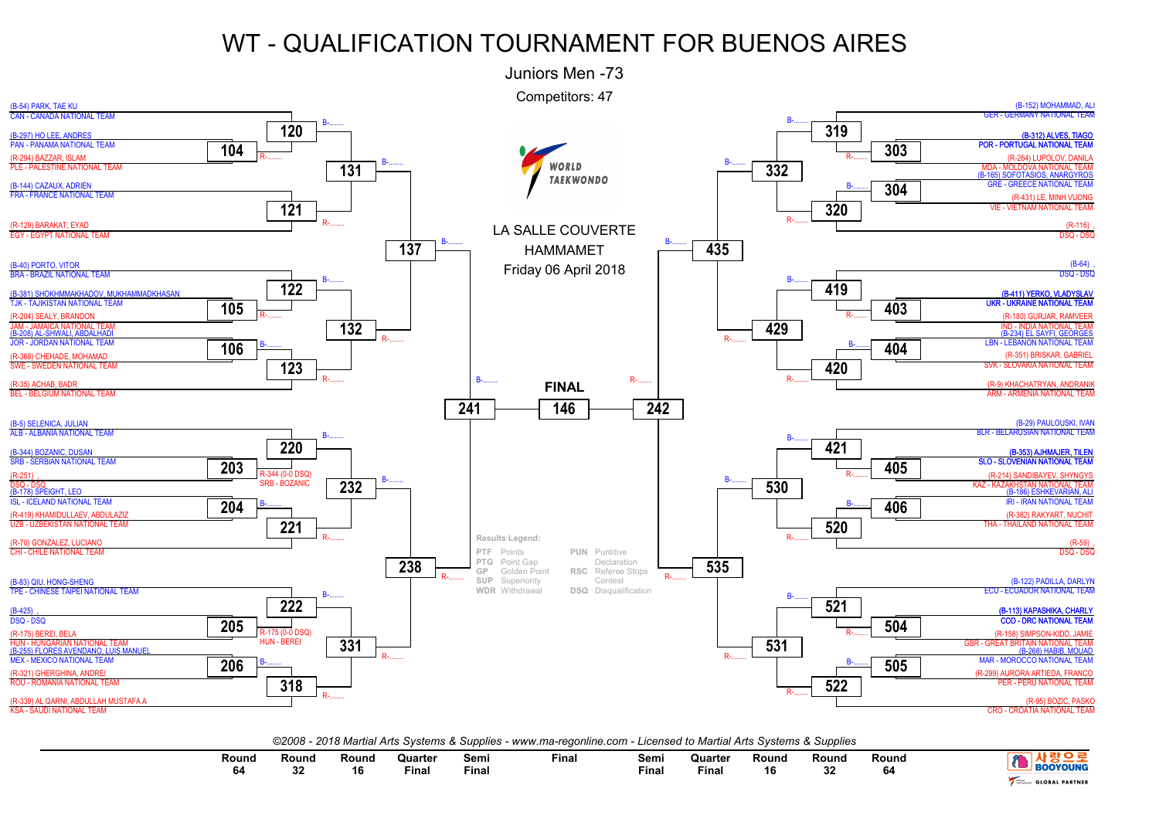

| Round<br>64 | Round<br>$\sim$ | Round<br>16 | Quarter<br>the contract of the contract of the contract of<br>Final | Semi<br>Final | Final | Semi<br>Final | Quarter<br><b>Final</b> | Round<br>16 | Round<br>00<br>94 | Round<br>64 | <b>OYOUNG</b>         |
|-------------|-----------------|-------------|---------------------------------------------------------------------|---------------|-------|---------------|-------------------------|-------------|-------------------|-------------|-----------------------|
|             |                 |             |                                                                     |               |       |               |                         |             |                   |             | <b>GLOBAL PARTNER</b> |